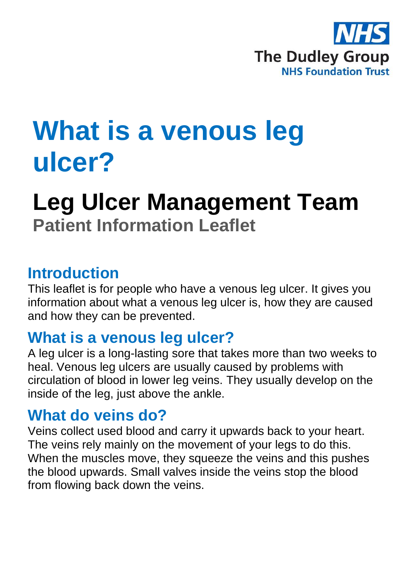

# **What is a venous leg ulcer?**

# **Leg Ulcer Management Team Patient Information Leaflet**

#### **Introduction**

This leaflet is for people who have a venous leg ulcer. It gives you information about what a venous leg ulcer is, how they are caused and how they can be prevented.

#### **What is a venous leg ulcer?**

A leg ulcer is a long-lasting sore that takes more than two weeks to heal. Venous leg ulcers are usually caused by problems with circulation of blood in lower leg veins. They usually develop on the inside of the leg, just above the ankle.

#### **What do veins do?**

Veins collect used blood and carry it upwards back to your heart. The veins rely mainly on the movement of your legs to do this. When the muscles move, they squeeze the veins and this pushes the blood upwards. Small valves inside the veins stop the blood from flowing back down the veins.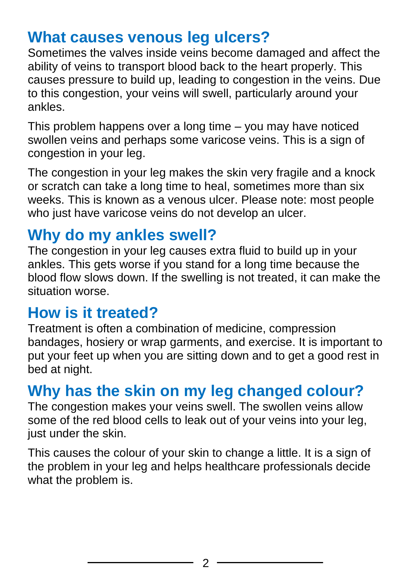### **What causes venous leg ulcers?**

Sometimes the valves inside veins become damaged and affect the ability of veins to transport blood back to the heart properly. This causes pressure to build up, leading to congestion in the veins. Due to this congestion, your veins will swell, particularly around your ankles.

This problem happens over a long time – you may have noticed swollen veins and perhaps some varicose veins. This is a sign of congestion in your leg.

The congestion in your leg makes the skin very fragile and a knock or scratch can take a long time to heal, sometimes more than six weeks. This is known as a venous ulcer. Please note: most people who iust have varicose veins do not develop an ulcer.

# **Why do my ankles swell?**

The congestion in your leg causes extra fluid to build up in your ankles. This gets worse if you stand for a long time because the blood flow slows down. If the swelling is not treated, it can make the situation worse.

#### **How is it treated?**

Treatment is often a combination of medicine, compression bandages, hosiery or wrap garments, and exercise. It is important to put your feet up when you are sitting down and to get a good rest in bed at night.

# **Why has the skin on my leg changed colour?**

The congestion makes your veins swell. The swollen veins allow some of the red blood cells to leak out of your veins into your leg, just under the skin.

This causes the colour of your skin to change a little. It is a sign of the problem in your leg and helps healthcare professionals decide what the problem is.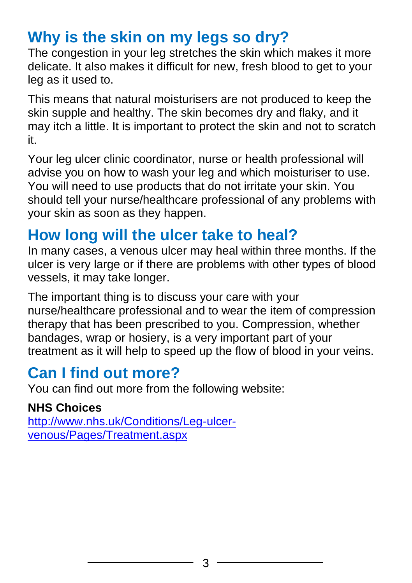# **Why is the skin on my legs so dry?**

The congestion in your leg stretches the skin which makes it more delicate. It also makes it difficult for new, fresh blood to get to your leg as it used to.

This means that natural moisturisers are not produced to keep the skin supple and healthy. The skin becomes dry and flaky, and it may itch a little. It is important to protect the skin and not to scratch it.

Your leg ulcer clinic coordinator, nurse or health professional will advise you on how to wash your leg and which moisturiser to use. You will need to use products that do not irritate your skin. You should tell your nurse/healthcare professional of any problems with your skin as soon as they happen.

# **How long will the ulcer take to heal?**

In many cases, a venous ulcer may heal within three months. If the ulcer is very large or if there are problems with other types of blood vessels, it may take longer.

The important thing is to discuss your care with your nurse/healthcare professional and to wear the item of compression therapy that has been prescribed to you. Compression, whether bandages, wrap or hosiery, is a very important part of your treatment as it will help to speed up the flow of blood in your veins.

# **Can I find out more?**

You can find out more from the following website:

#### **NHS Choices**

[http://www.nhs.uk/Conditions/Leg-ulcer](http://www.nhs.uk/Conditions/Leg-ulcer-venous/Pages/Treatment.aspx)[venous/Pages/Treatment.aspx](http://www.nhs.uk/Conditions/Leg-ulcer-venous/Pages/Treatment.aspx)